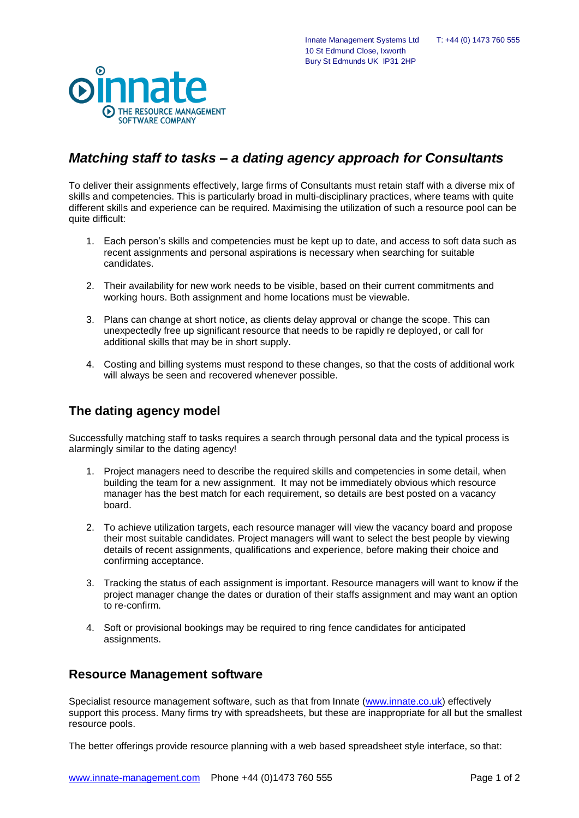

## *Matching staff to tasks – a dating agency approach for Consultants*

10 St Edmund Close, Ixworth Bury St Edmunds UK IP31 2HP

To deliver their assignments effectively, large firms of Consultants must retain staff with a diverse mix of skills and competencies. This is particularly broad in multi-disciplinary practices, where teams with quite different skills and experience can be required. Maximising the utilization of such a resource pool can be quite difficult:

- 1. Each person's skills and competencies must be kept up to date, and access to soft data such as recent assignments and personal aspirations is necessary when searching for suitable candidates.
- 2. Their availability for new work needs to be visible, based on their current commitments and working hours. Both assignment and home locations must be viewable.
- 3. Plans can change at short notice, as clients delay approval or change the scope. This can unexpectedly free up significant resource that needs to be rapidly re deployed, or call for additional skills that may be in short supply.
- 4. Costing and billing systems must respond to these changes, so that the costs of additional work will always be seen and recovered whenever possible.

## **The dating agency model**

Successfully matching staff to tasks requires a search through personal data and the typical process is alarmingly similar to the dating agency!

- 1. Project managers need to describe the required skills and competencies in some detail, when building the team for a new assignment. It may not be immediately obvious which resource manager has the best match for each requirement, so details are best posted on a vacancy board.
- 2. To achieve utilization targets, each resource manager will view the vacancy board and propose their most suitable candidates. Project managers will want to select the best people by viewing details of recent assignments, qualifications and experience, before making their choice and confirming acceptance.
- 3. Tracking the status of each assignment is important. Resource managers will want to know if the project manager change the dates or duration of their staffs assignment and may want an option to re-confirm.
- 4. Soft or provisional bookings may be required to ring fence candidates for anticipated assignments.

## **Resource Management software**

Specialist resource management software, such as that from Innate [\(www.innate.co.uk\)](http://www.innate.co.uk/) effectively support this process. Many firms try with spreadsheets, but these are inappropriate for all but the smallest resource pools.

The better offerings provide resource planning with a web based spreadsheet style interface, so that: